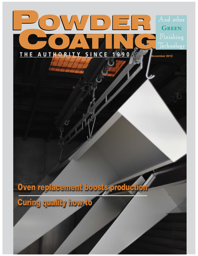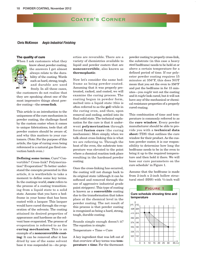# **COATER'S CORNER** Coater's Corner

# **Chris McKinnon Aegis Industrial Finishing**

#### **The quality of cure**

When I ask customers what they



know about powder coating, the answers I get almost always relate to the durability of the coating. Words such as hard, strong, tough, and durable are used freely. In all these cases,

the customers do not realize that they are speaking about one of the most impressive things about powder coating—the **cross-link**.

This article is an introduction to the uniqueness of the cure mechanism in powder coating, the challenge faced by the custom coater when it comes to unique fabrications, tools that all powder coaters should be aware of, and why this matters to your customers. (Note: For the purpose of this article, the type of curing oven being referenced is a natural gas fired convection batch oven.)

**Defining some terms.** Cure? Convertible? Cross-link? Polymerization? Evaporation? To better understand the concepts presented in this article, it is worthwhile to take a moment to define some key terms. In the coatings world, **cure** refers to the process of a coating transitioning from a liquid state to a solid state. Assume that you have a bedframe in your home that has been coated with a lacquer. This lacquer would have cured through the evaporation of the solvents. The coating attained its desired properties of appearance and hardness as the solvent base evaporated. The process of evaporation is referred to as the **curing mechanism**. This is an example of a **nonconvertible coating**: It can be removed after it has dried by use of the same solvent base it was suspended in—its properties are reversible. There are a variety of chemistries available to liquid and powder coaters that are **nonconvertible**, also known as **thermoplastic**.

Now let's consider the same bedframe as being powder-coated. Assuming that it was properly pretreated, racked, and coated, we will examine the curing process. The coating began in powder form, melted into a liquid state (this is often referred to as the **gel**) while in the curing oven, and then, upon removal and cooling, settled into its final solid state. The technical explanation for the cure is that it underwent **polymerization** through forced **fusion cure** (the curing mechanism). More simply, when we talk about cross-linking this is what we are referring to. Through the heat of the oven, the substrate temperature was elevated to the point where a chemical reaction took place resulting in the hardened powder coating.

Once the cross-linking has occurred, the coating will not change back to its original state (although it can be softened and removed through the use of aggressive industrial grade paint strippers). This type of coating is known as a **convertible** coating due to the transformation that takes place at the chemical level in the powder coating. The net result of this process is that powder coating is recognized as being a hard, strong, tough, durable coating.

Sounds simple enough doesn't it? The equation is simple:

Temperature + Time = Cure

A key ingredient that was left out of that overview of key terms was **temperature + time**. For the thermoset

powder coating to properly cross-link, the substrate (in this case a heavy steel bedframe) needs to be held at or above a certain temperature for a defined period of time. If our polyester powder coating requires 15 minutes at 356°F, this does NOT mean that you set the oven to 356°F and put the bedframe in for 15 minutes—you *might* wet out the coating and it *might*look cured, but it will not have any of the mechanical or chemical resistance properties of a properly cured coating.

This combination of time and temperature is commonly referred to as the **cure window**. Every powder manufacturer should be able to provide you with a **technical data sheet** (TDS) that outlines the cure window for their product. As the custom powder coater, it is our responsibility to determine how long the bedframe needs to be in the oven to bring it up to the required temperature and then hold it there. We will base our cure parameters on the cure schedule<sup>1</sup> in Figure 1.

Assume that the bedframe is made from 2-inch x 2-inch hollow structural steel (HSS) with 1/4-inch wall

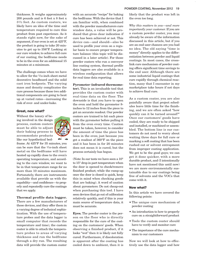thickness. It weighs approximately 200 pounds and is 6 feet x 8 feet x 31/2 feet. As custom coaters, we likely have an idea of the time and temperature required to cure this product from past experience. As it stands right now, for the sake of argument, if our oven is set at 425°F, the product is going to take 20 minutes to get up to 356°F. Looking at our cure window, to achieve full cure of our coating, the bedframe needs to be in the oven for an additional 15 minutes at a minimum.

The challenge comes when we have to allow for the 1/16-inch sheet metal decorative headboard and the solid cast iron bedposts. The varying mass and density complicates the cure process because these two additional components are going to heat up at varied rates—increasing the risk of over- and under-bake.

## **Great, now what?**

Without the luxury of be ing involved in the design process, custom coaters must be able to adjust their baking process to accommodate products like our hypothetical bed-



frame. At 425°F for 35 minutes, you can be sure that the 1/16-inch sheet metal on the bedframe will have heated up rapidly close to the oven's operating temperature, and according to the cure window, we want to be in that temperature range for no more than 10 minutes maximum. Fortunately, there are instruments available that provide us with the capability—and confidence—to properly and repeatedly cure the coatings that we apply.

# **Thermal profile data logger.**

There are a few manufacturers of these devices, and they offer them in a varying degree of technical sophistication. With the use of temperature probes and the data logger (a small computer that records the temperature and time), the custom coater is able to attach the temperature probes to areas of varying thickness and run the bedframe through a dry run. The resulting data will provide the custom coater

with an accurate "recipe" for baking the bedframe. With the device that I am familiar with, when combined with the powder manufacturers cure window data, a value will be produced that gives clear indication if cure has been achieved or not. This device can—and should—also be used to profile your oven on a regular basis to ensure proper temperature balance (this topic will be discussed in a later article). For those powder coaters who run a conveyor line coating system, thermal profile data loggers are also available in a wireless configuration that allows for real time data reporting.

## **Pyrometer (infrared thermome-**

**ter).** This is an invaluable tool that provides the custom coater with real-time data on the floor. The downside is that you have to open the oven and hold the pyrometer 8 inches to 12 inches from the piece to get an accurate readout. Our powder coaters are trained to hit each piece with the pyrometer before pulling it from the oven every time. Caution must be taken, however, to consider the amount of time the piece has been in the oven; just because you get a readout of 360°F on the piece and it has been in for 20 minutes does not mean it is cured, but the process certainly has begun.

(Note: In our tests we have seen a 10° to 15° drop in part temperature when the door is opened to check/remove finished product; while the ramp-up once the door is closed is quick, keep this in mind when checking goods that are baking). A word of caution about pyrometers: Do not cheap-out when purchasing this tool. I have seen devices that go out of calibration relatively quickly, and if this is your main source of temperature data, it must be accurate.

**Eyes.** The powder coater is the person on the floor who is directly responsible for the cure of the coating on the customers' goods. When observing a finished product, if it looks "wet" then it is likely not fully cured. Furthermore, if discoloration is apparent after the coating has cooled down to ambient, then it is

## **POWDER COATING, November 2012 19**

likely that the product was left in the oven too long.

*Why this matters to you—and more importantly your customer.* If you are a custom powder coater, you may already be aware of the information discussed in this article, but if you are an end user chances are you had no idea. The old saying "time is money" directly applies to the differentiation between powder and liquid coatings. In most cases, the crosslink cure mechanism of powder coating offers significant time savings to the end user. Although there are some industrial liquid coatings that cure rapidly through chemical reaction, many that I encounter in my marketplace take hours if not days to achieve final cure.

As a custom coater, you are also painfully aware that project schedules leave little time for the finishing, and we are often asked "how quickly can it be turned around?" Once our customers' goods have cooled, they are ready to be shipped and installed, or machined or assembled. The bottom line is our customers do not need to worry about waiting three days for full cure or marking a soft coating that has been rushed out or solvent entrapment from improper coating application. We get to be the good guys; we can get it done quicker, with a more durable product, and (I intentionally have not mentioned this until now) we are more environmentally sustainable due to our coatings being free of solvents and the VOCs that come with it.

#### **Now what?**

In this article we have covered the following points:

- The unique cure mechanism of powder coating
- An introduction to how to properly cure on a straightforward product
- Tools the custom coater should have to verify and monitor cure
- The importance of the cure mechanism to our customers

Now we will look at how to effectively use the data logger and how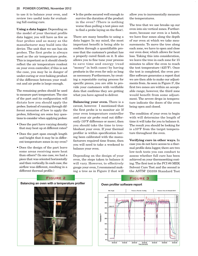#### **20 POWDER COATING, November 2012**

to use it to balance your oven, and review two useful tests for evaluating full coating cure.

**Using a data logger.** Depending on the model of your thermal profile data logger, you will have as few as four probes and as many as the manufacturer may build into the device. The unit that we use has six probes. The first probe is always used as the air temperature probe. This is important as it should closely reflect the air temperature readout on your oven controller; if this is not the case, you may be in danger of under-curing or over-baking product if the difference between your readout and air probe is large enough.

The remaining probes should be used to measure part temperature. The size of the part and its configuration will dictate how you should apply the probes. Instead of running through different scenarios of how to apply the probes, following are some key questions to consider when applying probes:

- Does the part have varying density that may heat up at different rates?
- Does the part span enough length and height that it may be in different temperature zones in my oven?
- Does the design of the part leave some areas receiving more heat than others? (In one case, we had a piece that was oriented horizontally and then vertically. In each case, the airflow was different, resulting in a different thermal profile.)

• Is the probe secured well enough to survive the duration of the product in the oven? (There is nothing worse than pulling a test piece out to find a probe laying on the floor).

There are many benefits to using a data logger. In my mind, the most important benefit is being able to confirm through a quantifiable process that the customer's product has a properly cured finish on it. It also allows you to fine tune your process to save time and energy (read "money" in both cases) by having products in the oven for only as long as necessary. Furthermore, by creating a repeatable curing process for specific pieces, you are able to provide your customers with verifiable data that confirms they are getting what you have agreed to deliver.

**Balancing your oven.** There is a caveat, however. I mentioned that the first probe is to monitor air. If your oven temperature controller and your air probe read out differently (10°F difference or more), then you should take the time to troubleshoot your oven. If your thermal profiler is within specification having been calibrated with the manufacturers required time frame, then you will need to take a weekend to balance your oven.

Depending on the design of your oven, the steps taken to balance it will vary. However, to effectively gauge your oven, I recommend making a tree as in Figure 2 that will

allow you to incrementally measure the temperatures.

The tree that we use breaks up our oven into six vertical zones. Furthermore, because our oven is a batch, we have four zones along the depth of our oven at which we take measurements. To move the tree along each zone, we have to open and close our oven door, which allows for heat loss. Taking this into consideration, we leave the tree in each zone for 15 minutes to allow the oven to reach the test temperature (425°F). Once the test is completed, the oven profiler software generates a report that we are then able to make our adjustments from. As seen in Figure 3<sup>2</sup>, the first two zones are within an acceptable range; however, the third zone would benefit from some adjustment. The severe drops in temperature indicate the doors of the oven being open and closed.

The condition of your oven to begin with will determine the length of time it will take for you to balance it. The result you should be looking for is ±10°F from the target temperature throughout the oven.

**Verifying cure in other ways.** In case you do not have access to a thermal profile data logger, there are two low-tech tests you can conduct to assess whether full cure has been achieved on your thermosetting coating. The first test is the PCI #8 MEK Solvent Cure Test and the second is the ASTM3 D3359 Standard Test